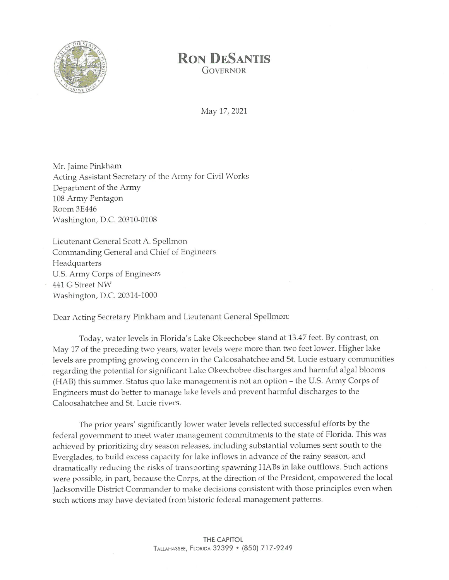

## **RON DESANTIS GOVERNOR**

May 17, 2021

Mr. Jaime Pinkham Acting Assistant Secretary of the Army for Civil Works Department of the Army 108 Army Pentagon Room 3E446 Washington, D.C. 20310-0108

Lieutenant General Scott A. Spellmon Commanding General and Chief of Engineers Headquarters U.S. Army Corps of Engineers 441 G Street NW Washington, D.C. 20314-1000

Dear Acting Secretary Pinkham and Lieutenant General Spellmon:

Today, water levels in Florida's Lake Okeechobee stand at 13.47 feet. By contrast, on May 17 of the preceding two years, water levels were more than two feet lower. Higher lake levels are prompting growing concern in the Caloosahatchee and St. Lucie estuary communities regarding the potential for significant Lake Okeechobee discharges and harmful algal blooms (HAB) this summer. Status quo lake management is not an option - the U.S. Army Corps of Engineers must do better to manage lake levels and prevent harmful discharges to the Caloosahatchee and St. Lucie rivers.

The prior years' significantly lower water levels reflected successful efforts by the federal government to meet water management commitments to the state of Florida. This was achieved by prioritizing dry season releases, including substantial volumes sent south to the Everglades, to build excess capacity for lake inflows in advance of the rainy season, and dramatically reducing the risks of transporting spawning HABs in lake outflows. Such actions were possible, in part, because the Corps, at the direction of the President, empowered the local Jacksonville District Commander to make decisions consistent with those principles even when such actions may have deviated from historic federal management patterns.